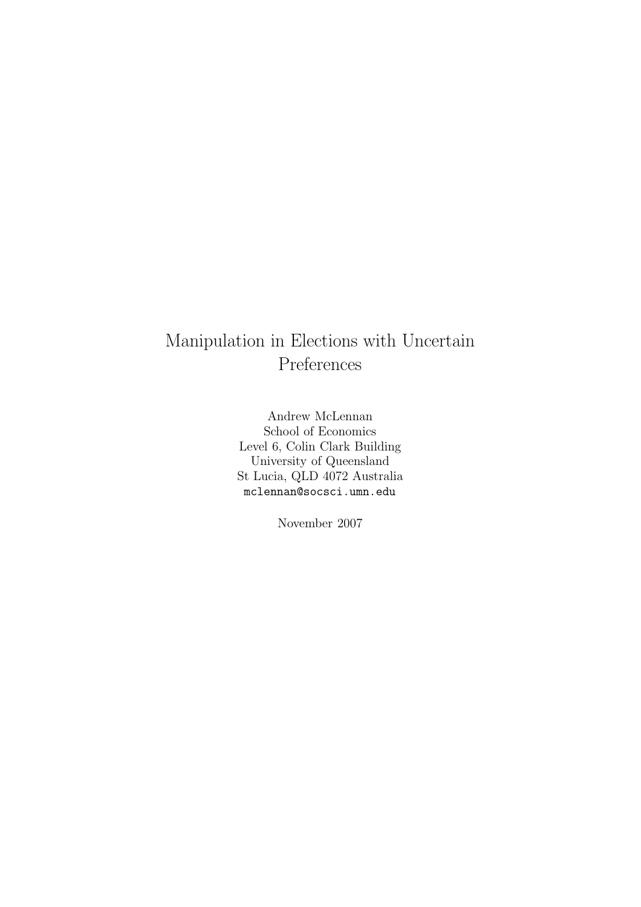# Manipulation in Elections with Uncertain Preferences

Andrew McLennan School of Economics Level 6, Colin Clark Building University of Queensland St Lucia, QLD 4072 Australia mclennan@socsci.umn.edu

November 2007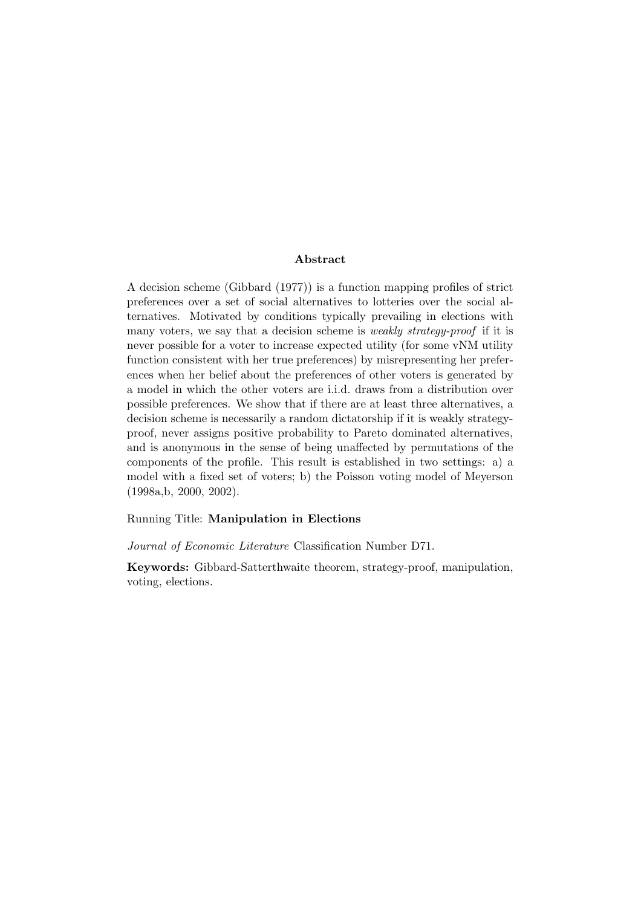#### Abstract

A decision scheme (Gibbard (1977)) is a function mapping profiles of strict preferences over a set of social alternatives to lotteries over the social alternatives. Motivated by conditions typically prevailing in elections with many voters, we say that a decision scheme is *weakly strategy-proof* if it is never possible for a voter to increase expected utility (for some vNM utility function consistent with her true preferences) by misrepresenting her preferences when her belief about the preferences of other voters is generated by a model in which the other voters are i.i.d. draws from a distribution over possible preferences. We show that if there are at least three alternatives, a decision scheme is necessarily a random dictatorship if it is weakly strategyproof, never assigns positive probability to Pareto dominated alternatives, and is anonymous in the sense of being unaffected by permutations of the components of the profile. This result is established in two settings: a) a model with a fixed set of voters; b) the Poisson voting model of Meyerson (1998a,b, 2000, 2002).

### Running Title: Manipulation in Elections

Journal of Economic Literature Classification Number D71.

Keywords: Gibbard-Satterthwaite theorem, strategy-proof, manipulation, voting, elections.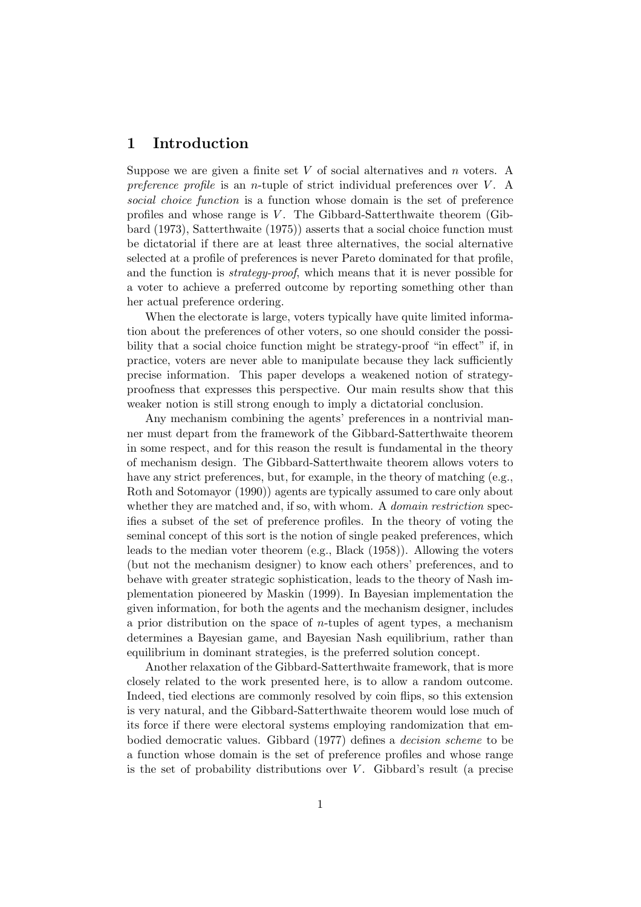## 1 Introduction

Suppose we are given a finite set  $V$  of social alternatives and  $n$  voters. A preference profile is an *n*-tuple of strict individual preferences over  $V$ . A social choice function is a function whose domain is the set of preference profiles and whose range is  $V$ . The Gibbard-Satterthwaite theorem (Gibbard (1973), Satterthwaite (1975)) asserts that a social choice function must be dictatorial if there are at least three alternatives, the social alternative selected at a profile of preferences is never Pareto dominated for that profile, and the function is strategy-proof, which means that it is never possible for a voter to achieve a preferred outcome by reporting something other than her actual preference ordering.

When the electorate is large, voters typically have quite limited information about the preferences of other voters, so one should consider the possibility that a social choice function might be strategy-proof "in effect" if, in practice, voters are never able to manipulate because they lack sufficiently precise information. This paper develops a weakened notion of strategyproofness that expresses this perspective. Our main results show that this weaker notion is still strong enough to imply a dictatorial conclusion.

Any mechanism combining the agents' preferences in a nontrivial manner must depart from the framework of the Gibbard-Satterthwaite theorem in some respect, and for this reason the result is fundamental in the theory of mechanism design. The Gibbard-Satterthwaite theorem allows voters to have any strict preferences, but, for example, in the theory of matching (e.g., Roth and Sotomayor (1990)) agents are typically assumed to care only about whether they are matched and, if so, with whom. A *domain restriction* specifies a subset of the set of preference profiles. In the theory of voting the seminal concept of this sort is the notion of single peaked preferences, which leads to the median voter theorem (e.g., Black (1958)). Allowing the voters (but not the mechanism designer) to know each others' preferences, and to behave with greater strategic sophistication, leads to the theory of Nash implementation pioneered by Maskin (1999). In Bayesian implementation the given information, for both the agents and the mechanism designer, includes a prior distribution on the space of *n*-tuples of agent types, a mechanism determines a Bayesian game, and Bayesian Nash equilibrium, rather than equilibrium in dominant strategies, is the preferred solution concept.

Another relaxation of the Gibbard-Satterthwaite framework, that is more closely related to the work presented here, is to allow a random outcome. Indeed, tied elections are commonly resolved by coin flips, so this extension is very natural, and the Gibbard-Satterthwaite theorem would lose much of its force if there were electoral systems employing randomization that embodied democratic values. Gibbard (1977) defines a decision scheme to be a function whose domain is the set of preference profiles and whose range is the set of probability distributions over  $V$ . Gibbard's result (a precise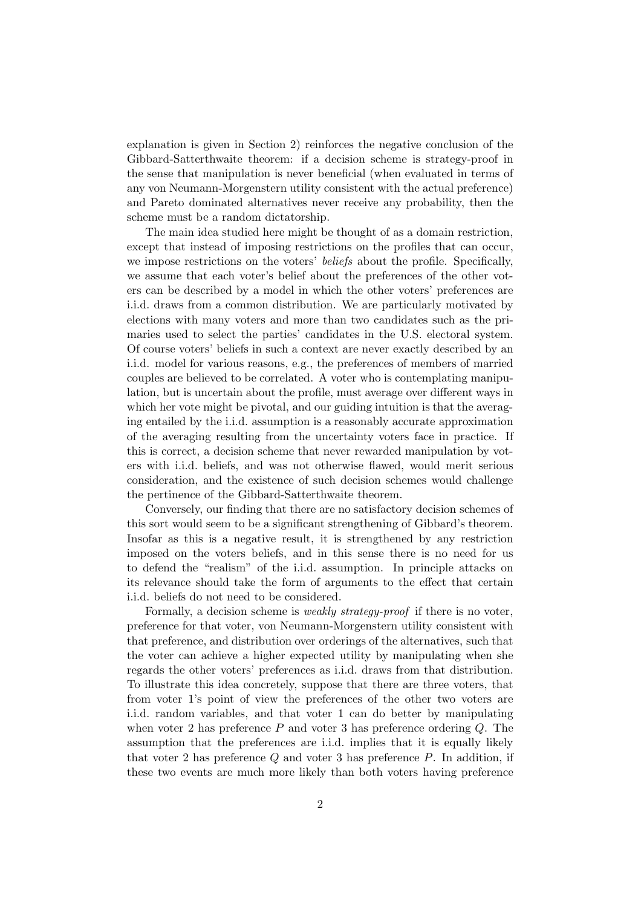explanation is given in Section 2) reinforces the negative conclusion of the Gibbard-Satterthwaite theorem: if a decision scheme is strategy-proof in the sense that manipulation is never beneficial (when evaluated in terms of any von Neumann-Morgenstern utility consistent with the actual preference) and Pareto dominated alternatives never receive any probability, then the scheme must be a random dictatorship.

The main idea studied here might be thought of as a domain restriction, except that instead of imposing restrictions on the profiles that can occur, we impose restrictions on the voters' *beliefs* about the profile. Specifically, we assume that each voter's belief about the preferences of the other voters can be described by a model in which the other voters' preferences are i.i.d. draws from a common distribution. We are particularly motivated by elections with many voters and more than two candidates such as the primaries used to select the parties' candidates in the U.S. electoral system. Of course voters' beliefs in such a context are never exactly described by an i.i.d. model for various reasons, e.g., the preferences of members of married couples are believed to be correlated. A voter who is contemplating manipulation, but is uncertain about the profile, must average over different ways in which her vote might be pivotal, and our guiding intuition is that the averaging entailed by the i.i.d. assumption is a reasonably accurate approximation of the averaging resulting from the uncertainty voters face in practice. If this is correct, a decision scheme that never rewarded manipulation by voters with i.i.d. beliefs, and was not otherwise flawed, would merit serious consideration, and the existence of such decision schemes would challenge the pertinence of the Gibbard-Satterthwaite theorem.

Conversely, our finding that there are no satisfactory decision schemes of this sort would seem to be a significant strengthening of Gibbard's theorem. Insofar as this is a negative result, it is strengthened by any restriction imposed on the voters beliefs, and in this sense there is no need for us to defend the "realism" of the i.i.d. assumption. In principle attacks on its relevance should take the form of arguments to the effect that certain i.i.d. beliefs do not need to be considered.

Formally, a decision scheme is *weakly strategy-proof* if there is no voter, preference for that voter, von Neumann-Morgenstern utility consistent with that preference, and distribution over orderings of the alternatives, such that the voter can achieve a higher expected utility by manipulating when she regards the other voters' preferences as i.i.d. draws from that distribution. To illustrate this idea concretely, suppose that there are three voters, that from voter 1's point of view the preferences of the other two voters are i.i.d. random variables, and that voter 1 can do better by manipulating when voter 2 has preference  $P$  and voter 3 has preference ordering  $Q$ . The assumption that the preferences are i.i.d. implies that it is equally likely that voter 2 has preference  $Q$  and voter 3 has preference  $P$ . In addition, if these two events are much more likely than both voters having preference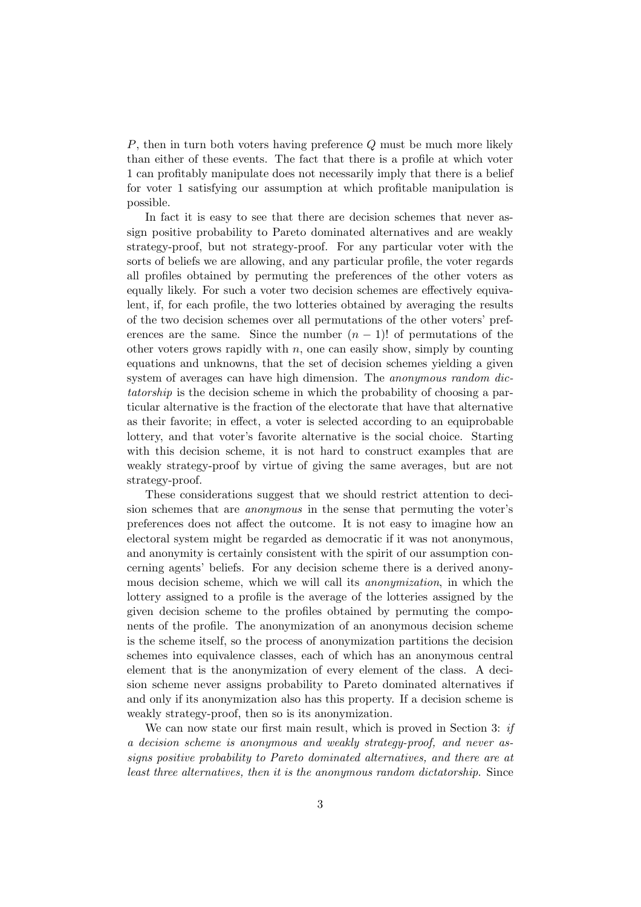P, then in turn both voters having preference Q must be much more likely than either of these events. The fact that there is a profile at which voter 1 can profitably manipulate does not necessarily imply that there is a belief for voter 1 satisfying our assumption at which profitable manipulation is possible.

In fact it is easy to see that there are decision schemes that never assign positive probability to Pareto dominated alternatives and are weakly strategy-proof, but not strategy-proof. For any particular voter with the sorts of beliefs we are allowing, and any particular profile, the voter regards all profiles obtained by permuting the preferences of the other voters as equally likely. For such a voter two decision schemes are effectively equivalent, if, for each profile, the two lotteries obtained by averaging the results of the two decision schemes over all permutations of the other voters' preferences are the same. Since the number  $(n - 1)!$  of permutations of the other voters grows rapidly with  $n$ , one can easily show, simply by counting equations and unknowns, that the set of decision schemes yielding a given system of averages can have high dimension. The *anonymous random dic*tatorship is the decision scheme in which the probability of choosing a particular alternative is the fraction of the electorate that have that alternative as their favorite; in effect, a voter is selected according to an equiprobable lottery, and that voter's favorite alternative is the social choice. Starting with this decision scheme, it is not hard to construct examples that are weakly strategy-proof by virtue of giving the same averages, but are not strategy-proof.

These considerations suggest that we should restrict attention to decision schemes that are anonymous in the sense that permuting the voter's preferences does not affect the outcome. It is not easy to imagine how an electoral system might be regarded as democratic if it was not anonymous, and anonymity is certainly consistent with the spirit of our assumption concerning agents' beliefs. For any decision scheme there is a derived anonymous decision scheme, which we will call its anonymization, in which the lottery assigned to a profile is the average of the lotteries assigned by the given decision scheme to the profiles obtained by permuting the components of the profile. The anonymization of an anonymous decision scheme is the scheme itself, so the process of anonymization partitions the decision schemes into equivalence classes, each of which has an anonymous central element that is the anonymization of every element of the class. A decision scheme never assigns probability to Pareto dominated alternatives if and only if its anonymization also has this property. If a decision scheme is weakly strategy-proof, then so is its anonymization.

We can now state our first main result, which is proved in Section 3: if a decision scheme is anonymous and weakly strategy-proof, and never assigns positive probability to Pareto dominated alternatives, and there are at least three alternatives, then it is the anonymous random dictatorship. Since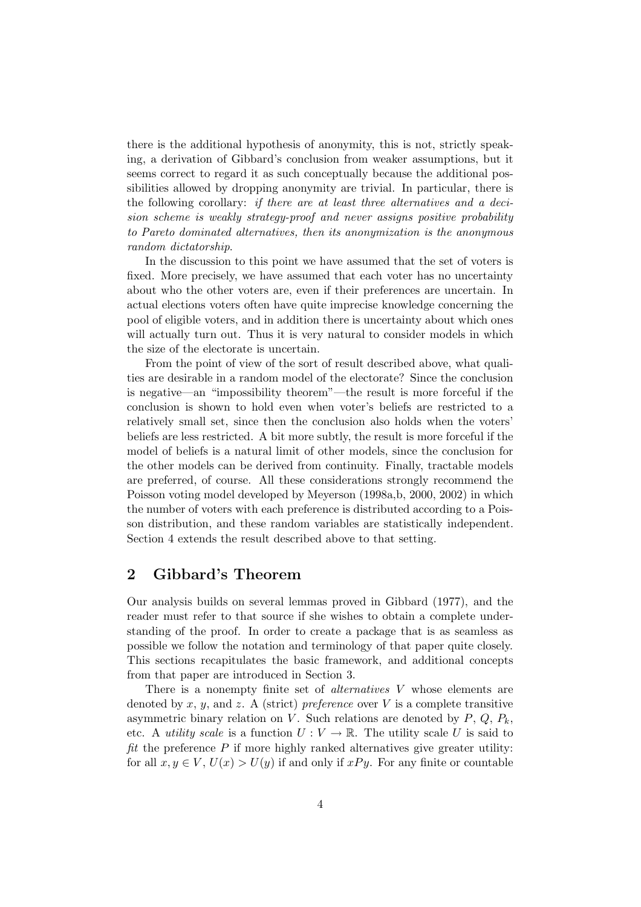there is the additional hypothesis of anonymity, this is not, strictly speaking, a derivation of Gibbard's conclusion from weaker assumptions, but it seems correct to regard it as such conceptually because the additional possibilities allowed by dropping anonymity are trivial. In particular, there is the following corollary: if there are at least three alternatives and a decision scheme is weakly strategy-proof and never assigns positive probability to Pareto dominated alternatives, then its anonymization is the anonymous random dictatorship.

In the discussion to this point we have assumed that the set of voters is fixed. More precisely, we have assumed that each voter has no uncertainty about who the other voters are, even if their preferences are uncertain. In actual elections voters often have quite imprecise knowledge concerning the pool of eligible voters, and in addition there is uncertainty about which ones will actually turn out. Thus it is very natural to consider models in which the size of the electorate is uncertain.

From the point of view of the sort of result described above, what qualities are desirable in a random model of the electorate? Since the conclusion is negative—an "impossibility theorem"—the result is more forceful if the conclusion is shown to hold even when voter's beliefs are restricted to a relatively small set, since then the conclusion also holds when the voters' beliefs are less restricted. A bit more subtly, the result is more forceful if the model of beliefs is a natural limit of other models, since the conclusion for the other models can be derived from continuity. Finally, tractable models are preferred, of course. All these considerations strongly recommend the Poisson voting model developed by Meyerson (1998a,b, 2000, 2002) in which the number of voters with each preference is distributed according to a Poisson distribution, and these random variables are statistically independent. Section 4 extends the result described above to that setting.

## 2 Gibbard's Theorem

Our analysis builds on several lemmas proved in Gibbard (1977), and the reader must refer to that source if she wishes to obtain a complete understanding of the proof. In order to create a package that is as seamless as possible we follow the notation and terminology of that paper quite closely. This sections recapitulates the basic framework, and additional concepts from that paper are introduced in Section 3.

There is a nonempty finite set of *alternatives* V whose elements are denoted by x, y, and z. A (strict) preference over V is a complete transitive asymmetric binary relation on V. Such relations are denoted by  $P, Q, P_k$ , etc. A *utility scale* is a function  $U: V \to \mathbb{R}$ . The utility scale U is said to fit the preference  $P$  if more highly ranked alternatives give greater utility: for all  $x, y \in V$ ,  $U(x) > U(y)$  if and only if  $xPy$ . For any finite or countable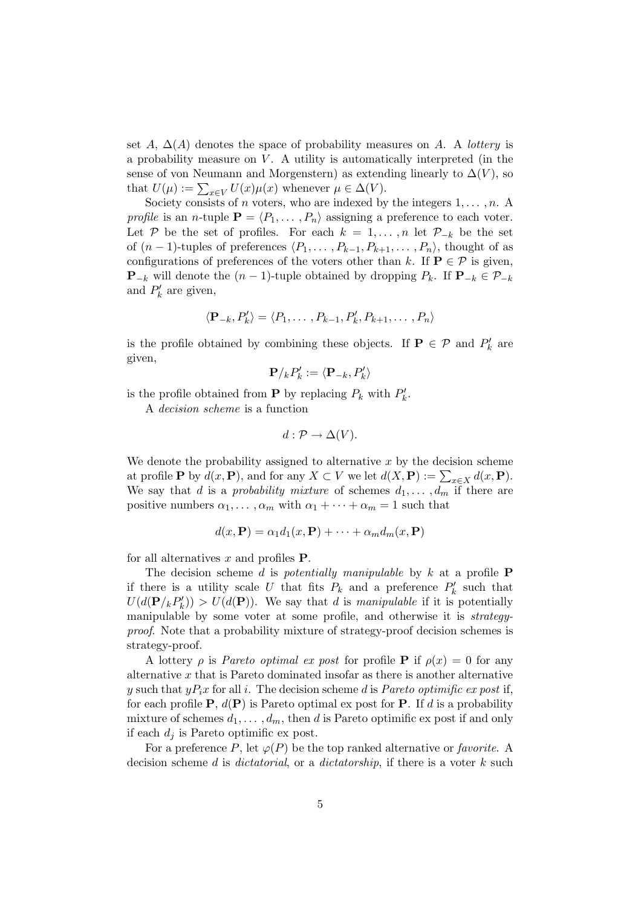set A,  $\Delta(A)$  denotes the space of probability measures on A. A *lottery* is a probability measure on  $V$ . A utility is automatically interpreted (in the sense of von Neumann and Morgenstern) as extending linearly to  $\Delta(V)$ , so that  $U(\mu) := \sum_{x \in V} U(x) \mu(x)$  whenever  $\mu \in \Delta(V)$ .

Society consists of *n* voters, who are indexed by the integers  $1, \ldots, n$ . A profile is an n-tuple  $\mathbf{P} = \langle P_1, \ldots, P_n \rangle$  assigning a preference to each voter. Let P be the set of profiles. For each  $k = 1, \ldots, n$  let  $\mathcal{P}_{-k}$  be the set of  $(n-1)$ -tuples of preferences  $\langle P_1, \ldots, P_{k-1}, P_{k+1}, \ldots, P_n \rangle$ , thought of as configurations of preferences of the voters other than k. If  $P \in \mathcal{P}$  is given, **P**<sub>−k</sub> will denote the  $(n - 1)$ -tuple obtained by dropping  $P_k$ . If  $\mathbf{P}_{-k} \in \mathcal{P}_{-k}$ and  $P'_k$  are given,

$$
\langle \mathbf{P}_{-k}, P'_{k} \rangle = \langle P_1, \dots, P_{k-1}, P'_{k}, P_{k+1}, \dots, P_n \rangle
$$

is the profile obtained by combining these objects. If **P**  $\in \mathcal{P}$  and  $P'_k$  are given,

$$
\mathbf{P}/_{k}P_{k}^{\prime }:=\langle \mathbf{P}_{-k},P_{k}^{\prime }\rangle
$$

is the profile obtained from **P** by replacing  $P_k$  with  $P'_k$ .

A decision scheme is a function

$$
d: \mathcal{P} \to \Delta(V).
$$

We denote the probability assigned to alternative  $x$  by the decision scheme at profile **P** by  $d(x, \mathbf{P})$ , and for any  $X \subset V$  we let  $d(X, \mathbf{P}) := \sum_{x \in X} d(x, \mathbf{P})$ . We say that d is a probability mixture of schemes  $d_1, \ldots, d_m$  if there are positive numbers  $\alpha_1, \ldots, \alpha_m$  with  $\alpha_1 + \cdots + \alpha_m = 1$  such that

$$
d(x, \mathbf{P}) = \alpha_1 d_1(x, \mathbf{P}) + \dots + \alpha_m d_m(x, \mathbf{P})
$$

for all alternatives  $x$  and profiles  $P$ .

The decision scheme d is potentially manipulable by  $k$  at a profile **P** if there is a utility scale U that fits  $P_k$  and a preference  $P'_k$  such that  $U(d(\mathbf{P}/_k P'_k)) > U(d(\mathbf{P}))$ . We say that d is manipulable if it is potentially manipulable by some voter at some profile, and otherwise it is strategyproof. Note that a probability mixture of strategy-proof decision schemes is strategy-proof.

A lottery  $\rho$  is *Pareto optimal ex post* for profile **P** if  $\rho(x) = 0$  for any alternative  $x$  that is Pareto dominated insofar as there is another alternative y such that  $yP_ix$  for all i. The decision scheme d is *Pareto optimific ex post* if, for each profile  $P$ ,  $d(P)$  is Pareto optimal ex post for P. If d is a probability mixture of schemes  $d_1, \ldots, d_m$ , then d is Pareto optimific ex post if and only if each  $d_i$  is Pareto optimific ex post.

For a preference P, let  $\varphi(P)$  be the top ranked alternative or *favorite*. A decision scheme d is dictatorial, or a dictatorship, if there is a voter  $k$  such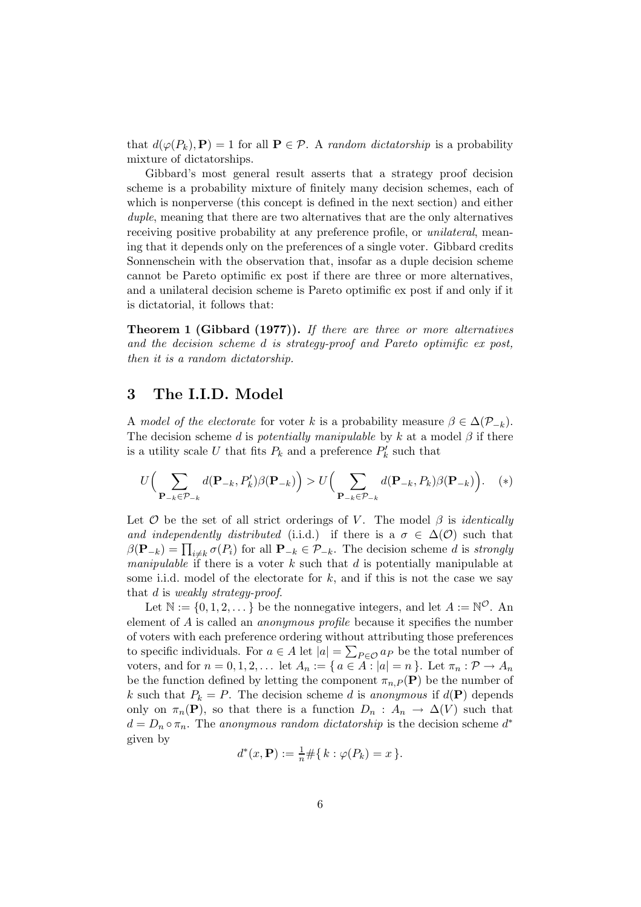that  $d(\varphi(P_k), P) = 1$  for all  $P \in \mathcal{P}$ . A random dictatorship is a probability mixture of dictatorships.

Gibbard's most general result asserts that a strategy proof decision scheme is a probability mixture of finitely many decision schemes, each of which is nonperverse (this concept is defined in the next section) and either duple, meaning that there are two alternatives that are the only alternatives receiving positive probability at any preference profile, or unilateral, meaning that it depends only on the preferences of a single voter. Gibbard credits Sonnenschein with the observation that, insofar as a duple decision scheme cannot be Pareto optimific ex post if there are three or more alternatives, and a unilateral decision scheme is Pareto optimific ex post if and only if it is dictatorial, it follows that:

Theorem 1 (Gibbard (1977)). If there are three or more alternatives and the decision scheme d is strategy-proof and Pareto optimific ex post, then it is a random dictatorship.

# 3 The I.I.D. Model

A model of the electorate for voter k is a probability measure  $\beta \in \Delta(\mathcal{P}_{-k})$ . The decision scheme d is *potentially manipulable* by k at a model  $\beta$  if there is a utility scale U that fits  $P_k$  and a preference  $P'_k$  such that

$$
U\Big(\sum_{\mathbf{P}_{-k}\in\mathcal{P}_{-k}}d(\mathbf{P}_{-k},P_k')\beta(\mathbf{P}_{-k})\Big) > U\Big(\sum_{\mathbf{P}_{-k}\in\mathcal{P}_{-k}}d(\mathbf{P}_{-k},P_k)\beta(\mathbf{P}_{-k})\Big). \quad (*)
$$

Let  $\mathcal O$  be the set of all strict orderings of V. The model  $\beta$  is *identically* and independently distributed (i.i.d.) if there is a  $\sigma \in \Delta(\mathcal{O})$  such that  $\beta(\mathbf{P}_{-k}) = \prod_{i \neq k} \sigma(P_i)$  for all  $\mathbf{P}_{-k} \in \mathcal{P}_{-k}$ . The decision scheme d is strongly *manipulable* if there is a voter k such that d is potentially manipulable at some i.i.d. model of the electorate for  $k$ , and if this is not the case we say that d is weakly strategy-proof.

Let  $\mathbb{N} := \{0, 1, 2, \dots\}$  be the nonnegative integers, and let  $A := \mathbb{N}^{\mathcal{O}}$ . An element of A is called an anonymous profile because it specifies the number of voters with each preference ordering without attributing those preferences to specific individuals. For  $a \in A$  let  $|a| = \sum_{P \in \mathcal{O}} a_P$  be the total number of voters, and for  $n = 0, 1, 2, \ldots$  let  $A_n := \{ a \in A : |a| = n \}$ . Let  $\pi_n : \mathcal{P} \to A_n$ be the function defined by letting the component  $\pi_{n,P}(\mathbf{P})$  be the number of k such that  $P_k = P$ . The decision scheme d is anonymous if  $d(\mathbf{P})$  depends only on  $\pi_n(\mathbf{P})$ , so that there is a function  $D_n$ :  $A_n \to \Delta(V)$  such that  $d = D_n \circ \pi_n$ . The anonymous random dictatorship is the decision scheme  $d^*$ given by

$$
d^*(x, \mathbf{P}) := \frac{1}{n} \# \{ k : \varphi(P_k) = x \}.
$$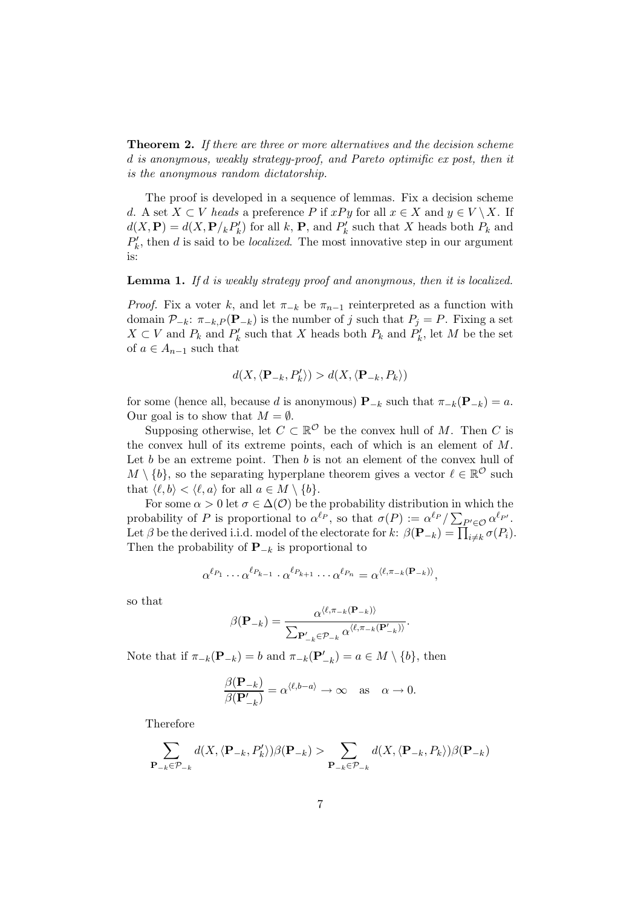**Theorem 2.** If there are three or more alternatives and the decision scheme d is anonymous, weakly strategy-proof, and Pareto optimific ex post, then it is the anonymous random dictatorship.

The proof is developed in a sequence of lemmas. Fix a decision scheme d. A set  $X \subset V$  heads a preference P if  $xPy$  for all  $x \in X$  and  $y \in V \setminus X$ . If  $d(X, \mathbf{P}) = d(X, \mathbf{P}/k P'_k)$  for all k, **P**, and  $P'_k$  such that X heads both  $P_k$  and  $P'_k$ , then d is said to be *localized*. The most innovative step in our argument is:

### Lemma 1. If d is weakly strategy proof and anonymous, then it is localized.

*Proof.* Fix a voter k, and let  $\pi_{-k}$  be  $\pi_{n-1}$  reinterpreted as a function with domain  $\mathcal{P}_{-k}$ :  $\pi_{-k,P}(\mathbf{P}_{-k})$  is the number of j such that  $P_j = P$ . Fixing a set  $X \subset V$  and  $P'_k$  and  $P'_k$  such that X heads both  $P_k$  and  $P'_k$ , let M be the set of  $a \in A_{n-1}$  such that

$$
d(X,\langle \mathbf{P}_{-k}, P'_k \rangle) > d(X,\langle \mathbf{P}_{-k}, P_k \rangle)
$$

for some (hence all, because d is anonymous)  $\mathbf{P}_{-k}$  such that  $\pi_{-k}(\mathbf{P}_{-k}) = a$ . Our goal is to show that  $M = \emptyset$ .

Supposing otherwise, let  $C \subset \mathbb{R}^{\mathcal{O}}$  be the convex hull of M. Then C is the convex hull of its extreme points, each of which is an element of M. Let  $b$  be an extreme point. Then  $b$  is not an element of the convex hull of  $M \setminus \{b\}$ , so the separating hyperplane theorem gives a vector  $\ell \in \mathbb{R}^{\mathcal{O}}$  such that  $\langle \ell, b \rangle < \langle \ell, a \rangle$  for all  $a \in M \setminus \{b\}.$ 

For some  $\alpha > 0$  let  $\sigma \in \Delta(\mathcal{O})$  be the probability distribution in which the probability of P is proportional to  $\alpha^{\ell_P}$ , so that  $\sigma(P) := \alpha^{\ell_P} / \sum_{P' \in \mathcal{O}} \alpha^{\ell_{P'}}$ . Let  $\beta$  be the derived i.i.d. model of the electorate for  $k$ :  $\beta(\mathbf{P}_{-k}) = \prod_{i \neq k} \sigma(P_i)$ . Then the probability of  $\mathbf{P}_{-k}$  is proportional to

$$
\alpha^{\ell_{P_1}} \cdots \alpha^{\ell_{P_{k-1}}} \cdot \alpha^{\ell_{P_{k+1}}} \cdots \alpha^{\ell_{P_n}} = \alpha^{\langle \ell, \pi_{-k}(\mathbf{P}_{-k}) \rangle},
$$

so that

$$
\beta(\mathbf{P}_{-k}) = \frac{\alpha^{\langle \ell, \pi_{-k}(\mathbf{P}_{-k}) \rangle}}{\sum_{\mathbf{P}'_{-k} \in \mathcal{P}_{-k}} \alpha^{\langle \ell, \pi_{-k}(\mathbf{P}'_{-k}) \rangle}}.
$$

Note that if  $\pi_{-k}(\mathbf{P}_{-k}) = b$  and  $\pi_{-k}(\mathbf{P}'_{-k}) = a \in M \setminus \{b\}$ , then

$$
\frac{\beta(\mathbf{P}_{-k})}{\beta(\mathbf{P}'_{-k})} = \alpha^{\langle \ell, b-a \rangle} \to \infty \quad \text{as} \quad \alpha \to 0.
$$

Therefore

$$
\sum_{\mathbf{P}_{-k}\in\mathcal{P}_{-k}}d(X,\langle\mathbf{P}_{-k},P'_k\rangle)\beta(\mathbf{P}_{-k})>\sum_{\mathbf{P}_{-k}\in\mathcal{P}_{-k}}d(X,\langle\mathbf{P}_{-k},P_k\rangle)\beta(\mathbf{P}_{-k})
$$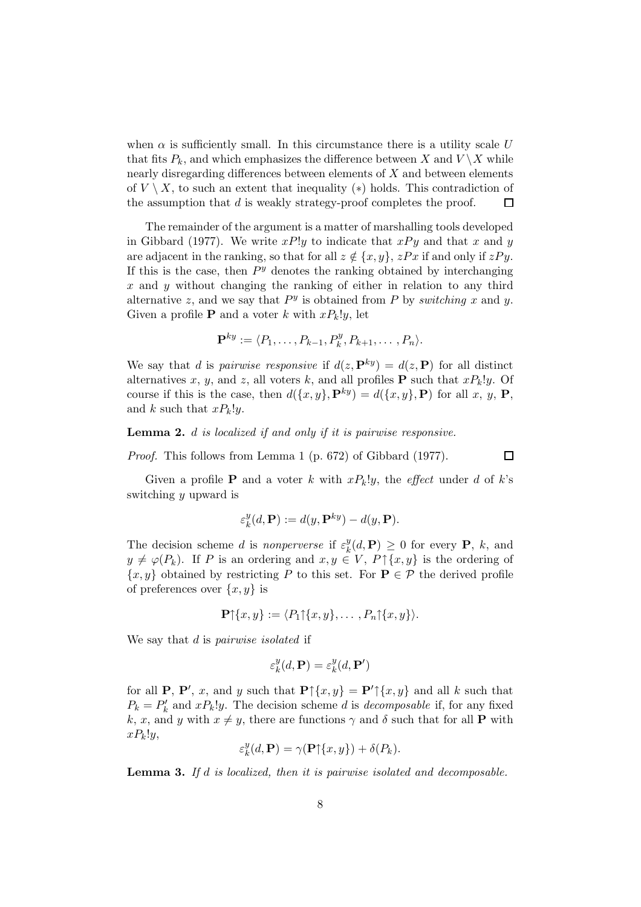when  $\alpha$  is sufficiently small. In this circumstance there is a utility scale U that fits  $P_k$ , and which emphasizes the difference between X and  $V \setminus X$  while nearly disregarding differences between elements of X and between elements of  $V \setminus X$ , to such an extent that inequality (\*) holds. This contradiction of the assumption that  $d$  is weakly strategy-proof completes the proof.  $\Box$ 

The remainder of the argument is a matter of marshalling tools developed in Gibbard (1977). We write  $xP!y$  to indicate that  $xPy$  and that x and y are adjacent in the ranking, so that for all  $z \notin \{x, y\}$ ,  $zPx$  if and only if  $zPy$ . If this is the case, then  $P<sup>y</sup>$  denotes the ranking obtained by interchanging  $x$  and  $y$  without changing the ranking of either in relation to any third alternative z, and we say that  $P<sup>y</sup>$  is obtained from P by switching x and y. Given a profile **P** and a voter k with  $xP_k!y$ , let

$$
\mathbf{P}^{ky} := \langle P_1, \ldots, P_{k-1}, P_k^y, P_{k+1}, \ldots, P_n \rangle.
$$

We say that d is pairwise responsive if  $d(z, \mathbf{P}^{ky}) = d(z, \mathbf{P})$  for all distinct alternatives x, y, and z, all voters k, and all profiles **P** such that  $xP_k!y$ . Of course if this is the case, then  $d({x, y}, P^{ky}) = d({x, y}, P)$  for all x, y, P, and k such that  $xP_k!y$ .

Lemma 2. d is localized if and only if it is pairwise responsive.

Proof. This follows from Lemma 1 (p. 672) of Gibbard (1977).

 $\Box$ 

Given a profile **P** and a voter k with  $xP_k!y$ , the *effect* under d of k's switching y upward is

$$
\varepsilon_k^y(d,\mathbf{P}) := d(y,\mathbf{P}^{ky}) - d(y,\mathbf{P}).
$$

The decision scheme d is nonperverse if  $\varepsilon_k^y$  $_{k}^{y}(d,\mathbf{P})\geq0$  for every **P**, k, and  $y \neq \varphi(P_k)$ . If P is an ordering and  $x, y \in V$ ,  $P \uparrow \{x, y\}$  is the ordering of  $\{x, y\}$  obtained by restricting P to this set. For  $P \in \mathcal{P}$  the derived profile of preferences over  $\{x, y\}$  is

$$
\mathbf{P}\uparrow\{x,y\}:=\langle P_1\uparrow\{x,y\},\ldots,P_n\uparrow\{x,y\}\rangle.
$$

We say that d is *pairwise* isolated if

$$
\varepsilon_k^y(d, \mathbf{P}) = \varepsilon_k^y(d, \mathbf{P}')
$$

for all **P**, **P'**, *x*, and *y* such that  $\mathbf{P} \uparrow \{x, y\} = \mathbf{P}' \uparrow \{x, y\}$  and all *k* such that  $P_k = P'_k$  and  $xP_k!y$ . The decision scheme d is decomposable if, for any fixed k, x, and y with  $x \neq y$ , there are functions  $\gamma$  and  $\delta$  such that for all **P** with  $xP_k!y,$ 

$$
\varepsilon_k^y(d, \mathbf{P}) = \gamma(\mathbf{P}{\upharpoonright}\{x, y\}) + \delta(P_k).
$$

Lemma 3. If d is localized, then it is pairwise isolated and decomposable.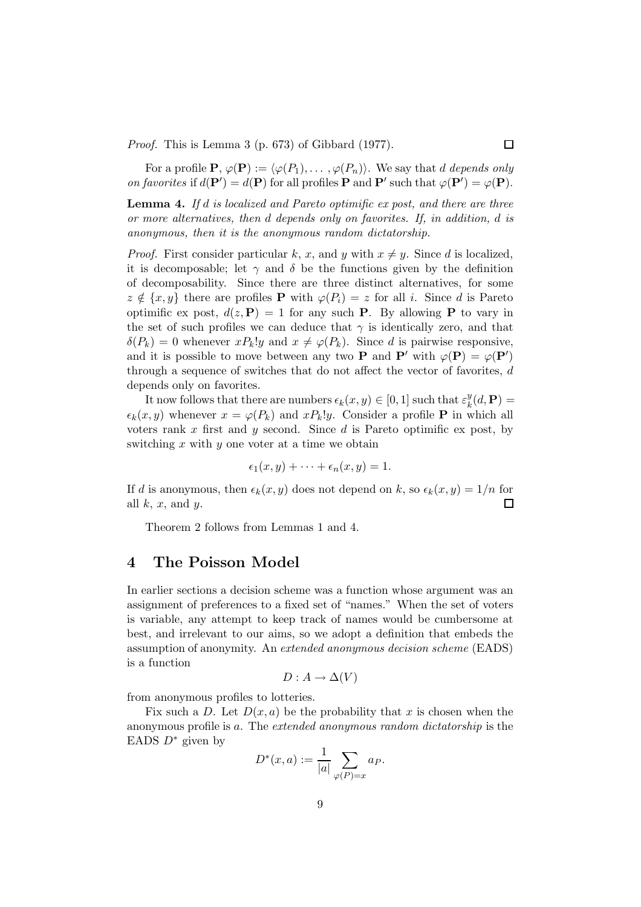Proof. This is Lemma 3 (p. 673) of Gibbard (1977).

For a profile  $\mathbf{P}, \varphi(\mathbf{P}) := \langle \varphi(P_1), \ldots, \varphi(P_n) \rangle$ . We say that d depends only on favorites if  $d(\mathbf{P}') = d(\mathbf{P})$  for all profiles **P** and **P'** such that  $\varphi(\mathbf{P}') = \varphi(\mathbf{P})$ .

**Lemma 4.** If d is localized and Pareto optimific ex post, and there are three or more alternatives, then d depends only on favorites. If, in addition, d is anonymous, then it is the anonymous random dictatorship.

*Proof.* First consider particular k, x, and y with  $x \neq y$ . Since d is localized. it is decomposable: let  $\gamma$  and  $\delta$  be the functions given by the definition of decomposability. Since there are three distinct alternatives, for some  $z \notin \{x, y\}$  there are profiles P with  $\varphi(P_i) = z$  for all i. Since d is Pareto optimific ex post,  $d(z, \mathbf{P}) = 1$  for any such **P**. By allowing **P** to vary in the set of such profiles we can deduce that  $\gamma$  is identically zero, and that  $\delta(P_k) = 0$  whenever  $x P_k! y$  and  $x \neq \varphi(P_k)$ . Since d is pairwise responsive, and it is possible to move between any two **P** and **P'** with  $\varphi(\mathbf{P}) = \varphi(\mathbf{P}')$ through a sequence of switches that do not affect the vector of favorites, d depends only on favorites.

It now follows that there are numbers  $\epsilon_k(x, y) \in [0, 1]$  such that  $\varepsilon_k^y$  $_{k}^{y}(d,\mathbf{P})=% {\textstyle\sum\limits_{k}} \left( \frac{\partial f_{k}}{\partial x_{k}}\right) ^{k}\frac{\partial f_{k}}{\partial x_{k}}\left( \frac{\partial f_{k}}{\partial x_{k}}\right) ^{k}$  $\epsilon_k(x, y)$  whenever  $x = \varphi(P_k)$  and  $xP_k!y$ . Consider a profile **P** in which all voters rank  $x$  first and  $y$  second. Since  $d$  is Pareto optimific ex post, by switching  $x$  with  $y$  one voter at a time we obtain

$$
\epsilon_1(x,y)+\cdots+\epsilon_n(x,y)=1.
$$

If d is anonymous, then  $\epsilon_k(x, y)$  does not depend on k, so  $\epsilon_k(x, y) = 1/n$  for all  $k, x$ , and  $y$ . □

Theorem 2 follows from Lemmas 1 and 4.

## 4 The Poisson Model

In earlier sections a decision scheme was a function whose argument was an assignment of preferences to a fixed set of "names." When the set of voters is variable, any attempt to keep track of names would be cumbersome at best, and irrelevant to our aims, so we adopt a definition that embeds the assumption of anonymity. An extended anonymous decision scheme (EADS) is a function

$$
D: A \to \Delta(V)
$$

from anonymous profiles to lotteries.

Fix such a D. Let  $D(x, a)$  be the probability that x is chosen when the anonymous profile is a. The extended anonymous random dictatorship is the EADS  $D^*$  given by

$$
D^*(x, a) := \frac{1}{|a|} \sum_{\varphi(P) = x} a_P.
$$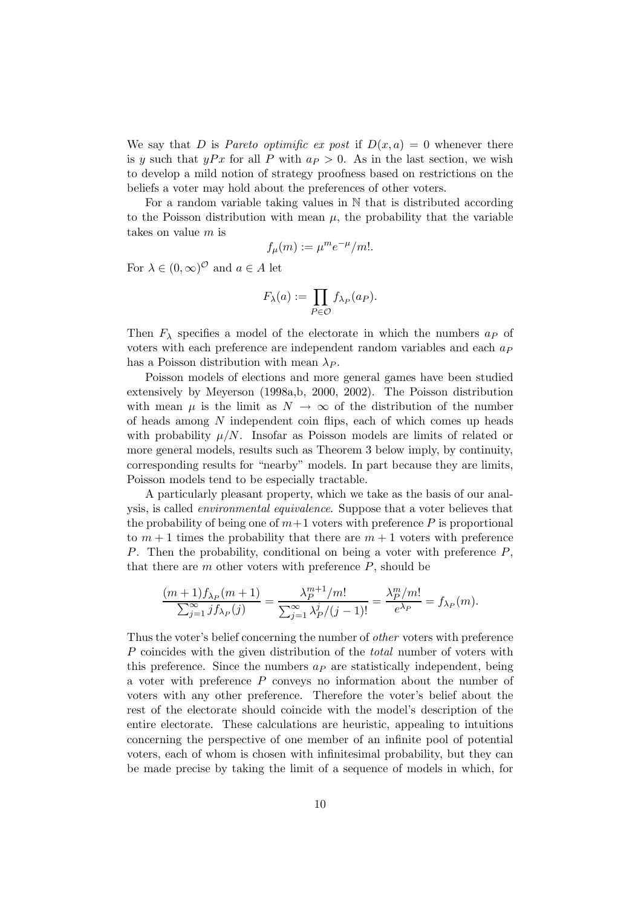We say that D is Pareto optimific ex post if  $D(x, a) = 0$  whenever there is y such that  $yPx$  for all P with  $a<sub>P</sub> > 0$ . As in the last section, we wish to develop a mild notion of strategy proofness based on restrictions on the beliefs a voter may hold about the preferences of other voters.

For a random variable taking values in N that is distributed according to the Poisson distribution with mean  $\mu$ , the probability that the variable takes on value m is

$$
f_{\mu}(m) := \mu^m e^{-\mu}/m!.
$$

For  $\lambda \in (0, \infty)^{\mathcal{O}}$  and  $a \in A$  let

$$
F_{\lambda}(a) := \prod_{P \in \mathcal{O}} f_{\lambda_P}(a_P).
$$

Then  $F_{\lambda}$  specifies a model of the electorate in which the numbers  $a_P$  of voters with each preference are independent random variables and each  $a<sub>P</sub>$ has a Poisson distribution with mean  $\lambda_P$ .

Poisson models of elections and more general games have been studied extensively by Meyerson (1998a,b, 2000, 2002). The Poisson distribution with mean  $\mu$  is the limit as  $N \to \infty$  of the distribution of the number of heads among N independent coin flips, each of which comes up heads with probability  $\mu/N$ . Insofar as Poisson models are limits of related or more general models, results such as Theorem 3 below imply, by continuity, corresponding results for "nearby" models. In part because they are limits, Poisson models tend to be especially tractable.

A particularly pleasant property, which we take as the basis of our analysis, is called environmental equivalence. Suppose that a voter believes that the probability of being one of  $m+1$  voters with preference P is proportional to  $m + 1$  times the probability that there are  $m + 1$  voters with preference P. Then the probability, conditional on being a voter with preference P, that there are  $m$  other voters with preference  $P$ , should be

$$
\frac{(m+1)f_{\lambda_P}(m+1)}{\sum_{j=1}^{\infty} j f_{\lambda_P}(j)} = \frac{\lambda_P^{m+1}/m!}{\sum_{j=1}^{\infty} \frac{\lambda_P^{j}/(j-1)!}{\lambda_P^{j}/(j-1)!}} = \frac{\lambda_P^{m}/m!}{e^{\lambda_P}} = f_{\lambda_P}(m).
$$

Thus the voter's belief concerning the number of other voters with preference P coincides with the given distribution of the *total* number of voters with this preference. Since the numbers  $a<sub>P</sub>$  are statistically independent, being a voter with preference P conveys no information about the number of voters with any other preference. Therefore the voter's belief about the rest of the electorate should coincide with the model's description of the entire electorate. These calculations are heuristic, appealing to intuitions concerning the perspective of one member of an infinite pool of potential voters, each of whom is chosen with infinitesimal probability, but they can be made precise by taking the limit of a sequence of models in which, for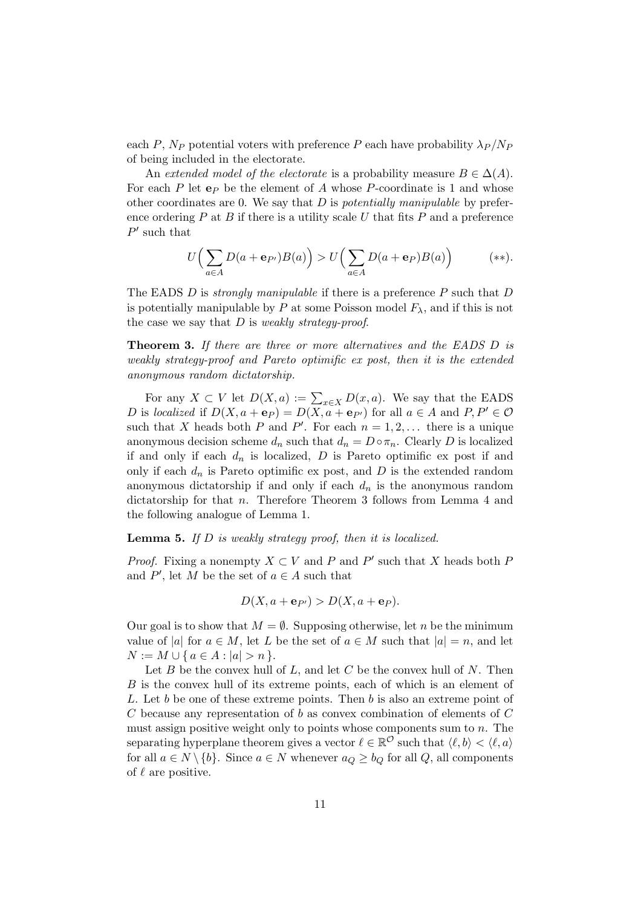each P,  $N_P$  potential voters with preference P each have probability  $\lambda_P / N_P$ of being included in the electorate.

An extended model of the electorate is a probability measure  $B \in \Delta(A)$ . For each  $P$  let  $e_P$  be the element of  $A$  whose  $P$ -coordinate is 1 and whose other coordinates are 0. We say that  $D$  is *potentially manipulable* by preference ordering  $P$  at  $B$  if there is a utility scale  $U$  that fits  $P$  and a preference  $P'$  such that

$$
U\Big(\sum_{a\in A} D(a+\mathbf{e}_{P'})B(a)\Big) > U\Big(\sum_{a\in A} D(a+\mathbf{e}_P)B(a)\Big) \qquad (*)
$$

The EADS  $D$  is *strongly manipulable* if there is a preference  $P$  such that  $D$ is potentially manipulable by P at some Poisson model  $F_{\lambda}$ , and if this is not the case we say that  $D$  is *weakly strategy-proof.* 

Theorem 3. If there are three or more alternatives and the EADS D is weakly strategy-proof and Pareto optimific ex post, then it is the extended anonymous random dictatorship.

For any  $X \subset V$  let  $D(X, a) := \sum_{x \in X} D(x, a)$ . We say that the EADS D is localized if  $D(X, a + e_P) = D(X, a + e_{P'})$  for all  $a \in A$  and  $P, P' \in O$ such that X heads both P and P'. For each  $n = 1, 2, \ldots$  there is a unique anonymous decision scheme  $d_n$  such that  $d_n = D \circ \pi_n$ . Clearly D is localized if and only if each  $d_n$  is localized, D is Pareto optimific ex post if and only if each  $d_n$  is Pareto optimific ex post, and D is the extended random anonymous dictatorship if and only if each  $d_n$  is the anonymous random dictatorship for that *n*. Therefore Theorem 3 follows from Lemma 4 and the following analogue of Lemma 1.

#### **Lemma 5.** If  $D$  is weakly strategy proof, then it is localized.

*Proof.* Fixing a nonempty  $X \subset V$  and P and P' such that X heads both P and  $P'$ , let M be the set of  $a \in A$  such that

$$
D(X, a + \mathbf{e}_{P'}) > D(X, a + \mathbf{e}_P).
$$

Our goal is to show that  $M = \emptyset$ . Supposing otherwise, let n be the minimum value of |a| for  $a \in M$ , let L be the set of  $a \in M$  such that  $|a| = n$ , and let  $N := M \cup \{ a \in A : |a| > n \}.$ 

Let  $B$  be the convex hull of  $L$ , and let  $C$  be the convex hull of  $N$ . Then B is the convex hull of its extreme points, each of which is an element of L. Let b be one of these extreme points. Then b is also an extreme point of C because any representation of b as convex combination of elements of  $C$ must assign positive weight only to points whose components sum to  $n$ . The separating hyperplane theorem gives a vector  $\ell \in \mathbb{R}^{\mathcal{O}}$  such that  $\langle \ell, b \rangle < \langle \ell, a \rangle$ for all  $a \in N \setminus \{b\}$ . Since  $a \in N$  whenever  $a_Q \ge b_Q$  for all Q, all components of  $\ell$  are positive.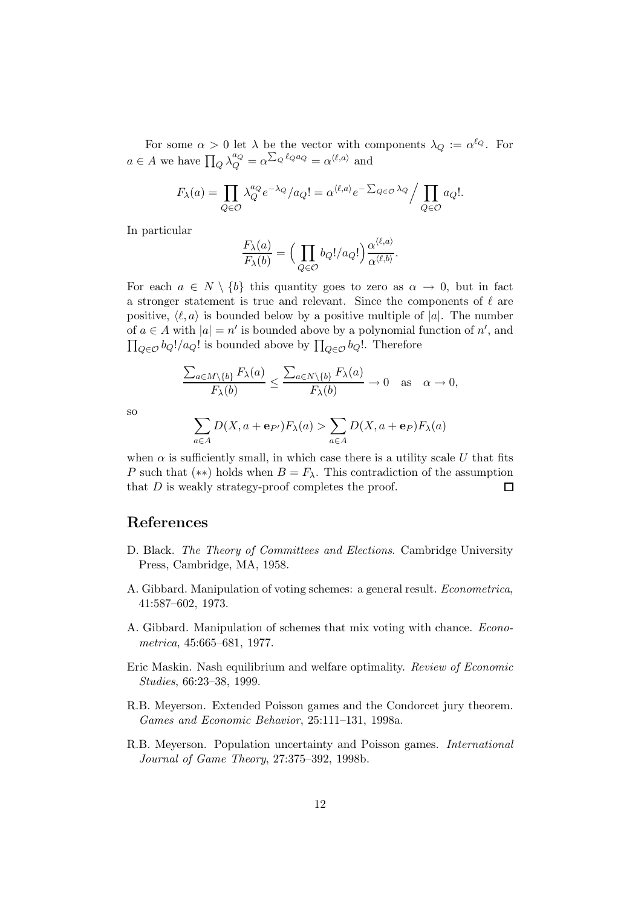For some  $\alpha > 0$  let  $\lambda$  be the vector with components  $\lambda_Q := \alpha^{\ell_Q}$ . For  $a \in A$  we have  $\prod_{Q} \lambda_{Q}^{a_Q} = \alpha^{\sum_{Q} \ell_{Q} a_Q} = \alpha^{\langle \ell, a \rangle}$  and

$$
F_{\lambda}(a) = \prod_{Q \in \mathcal{O}} \lambda_Q^{a_Q} e^{-\lambda_Q} / a_Q! = \alpha^{\langle \ell, a \rangle} e^{-\sum_{Q \in \mathcal{O}} \lambda_Q} / \prod_{Q \in \mathcal{O}} a_Q!.
$$

In particular

$$
\frac{F_{\lambda}(a)}{F_{\lambda}(b)} = \Big(\prod_{Q \in \mathcal{O}} b_Q!/a_Q!\Big) \frac{\alpha^{\langle \ell, a \rangle}}{\alpha^{\langle \ell, b \rangle}}.
$$

For each  $a \in N \setminus \{b\}$  this quantity goes to zero as  $\alpha \to 0$ , but in fact a stronger statement is true and relevant. Since the components of  $\ell$  are positive,  $\langle \ell, a \rangle$  is bounded below by a positive multiple of |a|. The number of  $a \in A$  with  $|a| = n'$  is bounded above by a polynomial function of  $n'$ , and  $\prod_{Q \in \mathcal{O}} b_Q! / a_Q!$  is bounded above by  $\prod_{Q \in \mathcal{O}} b_Q!$ . Therefore

$$
\frac{\sum_{a\in M\setminus\{b\}} F_{\lambda}(a)}{F_{\lambda}(b)} \le \frac{\sum_{a\in N\setminus\{b\}} F_{\lambda}(a)}{F_{\lambda}(b)} \to 0 \quad \text{as} \quad \alpha \to 0,
$$

so

$$
\sum_{a \in A} D(X, a + \mathbf{e}_{P'}) F_{\lambda}(a) > \sum_{a \in A} D(X, a + \mathbf{e}_P) F_{\lambda}(a)
$$

when  $\alpha$  is sufficiently small, in which case there is a utility scale U that fits P such that (\*\*) holds when  $B = F_{\lambda}$ . This contradiction of the assumption that  $D$  is weakly strategy-proof completes the proof.  $\Box$ 

## References

- D. Black. The Theory of Committees and Elections. Cambridge University Press, Cambridge, MA, 1958.
- A. Gibbard. Manipulation of voting schemes: a general result. Econometrica, 41:587–602, 1973.
- A. Gibbard. Manipulation of schemes that mix voting with chance. Econometrica, 45:665–681, 1977.
- Eric Maskin. Nash equilibrium and welfare optimality. Review of Economic Studies, 66:23–38, 1999.
- R.B. Meyerson. Extended Poisson games and the Condorcet jury theorem. Games and Economic Behavior, 25:111–131, 1998a.
- R.B. Meyerson. Population uncertainty and Poisson games. International Journal of Game Theory, 27:375–392, 1998b.